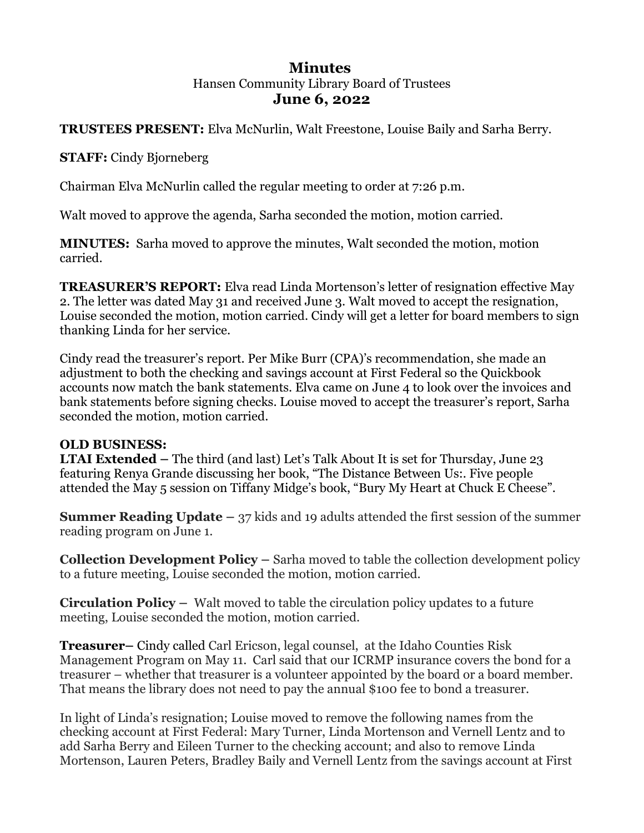## **Minutes**  Hansen Community Library Board of Trustees **June 6, 2022**

### **TRUSTEES PRESENT:** Elva McNurlin, Walt Freestone, Louise Baily and Sarha Berry.

**STAFF:** Cindy Bjorneberg

Chairman Elva McNurlin called the regular meeting to order at 7:26 p.m.

Walt moved to approve the agenda, Sarha seconded the motion, motion carried.

**MINUTES:** Sarha moved to approve the minutes, Walt seconded the motion, motion carried.

**TREASURER'S REPORT:** Elva read Linda Mortenson's letter of resignation effective May 2. The letter was dated May 31 and received June 3. Walt moved to accept the resignation, Louise seconded the motion, motion carried. Cindy will get a letter for board members to sign thanking Linda for her service.

Cindy read the treasurer's report. Per Mike Burr (CPA)'s recommendation, she made an adjustment to both the checking and savings account at First Federal so the Quickbook accounts now match the bank statements. Elva came on June 4 to look over the invoices and bank statements before signing checks. Louise moved to accept the treasurer's report, Sarha seconded the motion, motion carried.

### **OLD BUSINESS:**

**LTAI Extended –** The third (and last) Let's Talk About It is set for Thursday, June 23 featuring Renya Grande discussing her book, "The Distance Between Us:. Five people attended the May 5 session on Tiffany Midge's book, "Bury My Heart at Chuck E Cheese".

**Summer Reading Update –** 37 kids and 19 adults attended the first session of the summer reading program on June 1.

**Collection Development Policy –** Sarha moved to table the collection development policy to a future meeting, Louise seconded the motion, motion carried.

**Circulation Policy –** Walt moved to table the circulation policy updates to a future meeting, Louise seconded the motion, motion carried.

**Treasurer–** Cindy called Carl Ericson, legal counsel, at the Idaho Counties Risk Management Program on May 11. Carl said that our ICRMP insurance covers the bond for a treasurer – whether that treasurer is a volunteer appointed by the board or a board member. That means the library does not need to pay the annual \$100 fee to bond a treasurer.

In light of Linda's resignation; Louise moved to remove the following names from the checking account at First Federal: Mary Turner, Linda Mortenson and Vernell Lentz and to add Sarha Berry and Eileen Turner to the checking account; and also to remove Linda Mortenson, Lauren Peters, Bradley Baily and Vernell Lentz from the savings account at First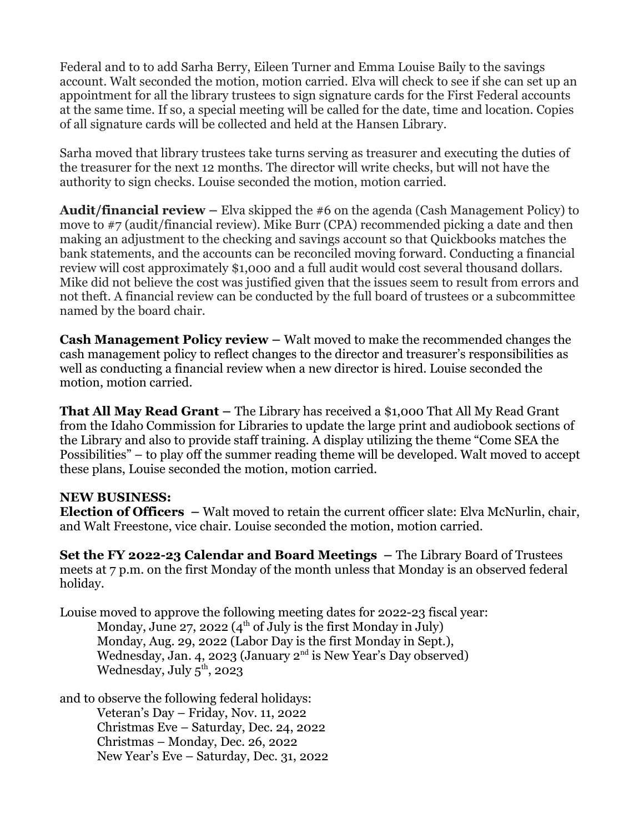Federal and to to add Sarha Berry, Eileen Turner and Emma Louise Baily to the savings account. Walt seconded the motion, motion carried. Elva will check to see if she can set up an appointment for all the library trustees to sign signature cards for the First Federal accounts at the same time. If so, a special meeting will be called for the date, time and location. Copies of all signature cards will be collected and held at the Hansen Library.

Sarha moved that library trustees take turns serving as treasurer and executing the duties of the treasurer for the next 12 months. The director will write checks, but will not have the authority to sign checks. Louise seconded the motion, motion carried.

**Audit/financial review –** Elva skipped the #6 on the agenda (Cash Management Policy) to move to #7 (audit/financial review). Mike Burr (CPA) recommended picking a date and then making an adjustment to the checking and savings account so that Quickbooks matches the bank statements, and the accounts can be reconciled moving forward. Conducting a financial review will cost approximately \$1,000 and a full audit would cost several thousand dollars. Mike did not believe the cost was justified given that the issues seem to result from errors and not theft. A financial review can be conducted by the full board of trustees or a subcommittee named by the board chair.

**Cash Management Policy review –** Walt moved to make the recommended changes the cash management policy to reflect changes to the director and treasurer's responsibilities as well as conducting a financial review when a new director is hired. Louise seconded the motion, motion carried.

**That All May Read Grant –** The Library has received a \$1,000 That All My Read Grant from the Idaho Commission for Libraries to update the large print and audiobook sections of the Library and also to provide staff training. A display utilizing the theme "Come SEA the Possibilities" – to play off the summer reading theme will be developed. Walt moved to accept these plans, Louise seconded the motion, motion carried.

#### **NEW BUSINESS:**

**Election of Officers –** Walt moved to retain the current officer slate: Elva McNurlin, chair, and Walt Freestone, vice chair. Louise seconded the motion, motion carried.

**Set the FY 2022-23 Calendar and Board Meetings –** The Library Board of Trustees meets at 7 p.m. on the first Monday of the month unless that Monday is an observed federal holiday.

Louise moved to approve the following meeting dates for 2022-23 fiscal year: Monday, June 27, 2022 ( $4<sup>th</sup>$  of July is the first Monday in July) Monday, Aug. 29, 2022 (Labor Day is the first Monday in Sept.), Wednesday, Jan. 4, 2023 (January  $2^{nd}$  is New Year's Day observed) Wednesday, July  $5^{\text{th}}$ , 2023

and to observe the following federal holidays:

Veteran's Day – Friday, Nov. 11, 2022 Christmas Eve – Saturday, Dec. 24, 2022 Christmas – Monday, Dec. 26, 2022 New Year's Eve – Saturday, Dec. 31, 2022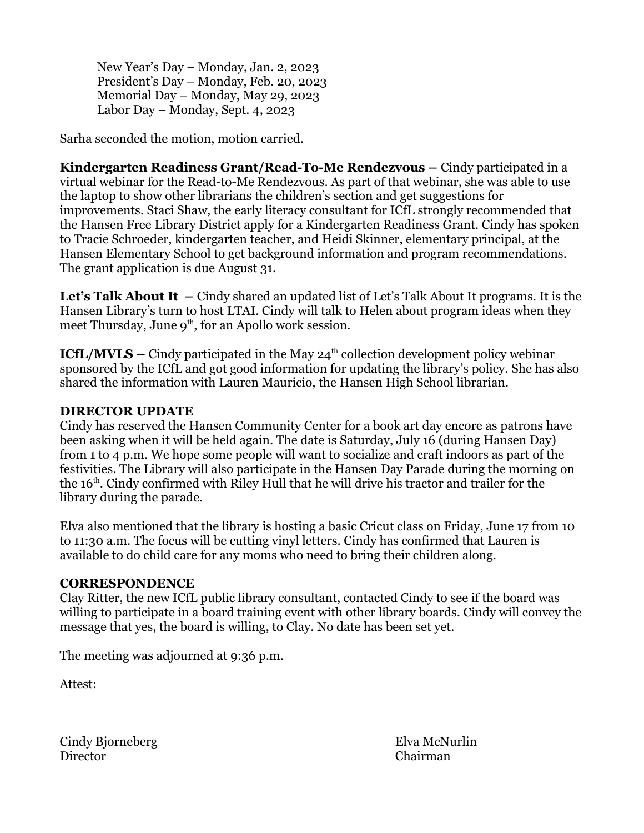New Year's Day – Monday, Jan. 2, 2023 President's Day – Monday, Feb. 20, 2023 Memorial Day – Monday, May 29, 2023 Labor Day – Monday, Sept. 4, 2023

Sarha seconded the motion, motion carried.

**Kindergarten Readiness Grant/Read-To-Me Rendezvous – Cindy participated in a** virtual webinar for the Read-to-Me Rendezvous. As part of that webinar, she was able to use the laptop to show other librarians the children's section and get suggestions for improvements. Staci Shaw, the early literacy consultant for ICfL strongly recommended that the Hansen Free Library District apply for a Kindergarten Readiness Grant. Cindy has spoken to Tracie Schroeder, kindergarten teacher, and Heidi Skinner, elementary principal, at the Hansen Elementary School to get background information and program recommendations. The grant application is due August 31.

**Let's Talk About It –** Cindy shared an updated list of Let's Talk About It programs. It is the Hansen Library's turn to host LTAI. Cindy will talk to Helen about program ideas when they meet Thursday, June  $9<sup>th</sup>$ , for an Apollo work session.

**ICfL/MVLS –** Cindy participated in the May  $24<sup>th</sup>$  collection development policy webinar sponsored by the ICfL and got good information for updating the library's policy. She has also shared the information with Lauren Mauricio, the Hansen High School librarian.

# **DIRECTOR UPDATE**

Cindy has reserved the Hansen Community Center for a book art day encore as patrons have been asking when it will be held again. The date is Saturday, July 16 (during Hansen Day) from 1 to 4 p.m. We hope some people will want to socialize and craft indoors as part of the festivities. The Library will also participate in the Hansen Day Parade during the morning on the 16<sup>th</sup>. Cindy confirmed with Riley Hull that he will drive his tractor and trailer for the library during the parade.

Elva also mentioned that the library is hosting a basic Cricut class on Friday, June 17 from 10 to 11:30 a.m. The focus will be cutting vinyl letters. Cindy has confirmed that Lauren is available to do child care for any moms who need to bring their children along.

### **CORRESPONDENCE**

Clay Ritter, the new ICfL public library consultant, contacted Cindy to see if the board was willing to participate in a board training event with other library boards. Cindy will convey the message that yes, the board is willing, to Clay. No date has been set yet.

The meeting was adjourned at 9:36 p.m.

Attest:

Cindy Bjorneberg Elva McNurlin Director Chairman